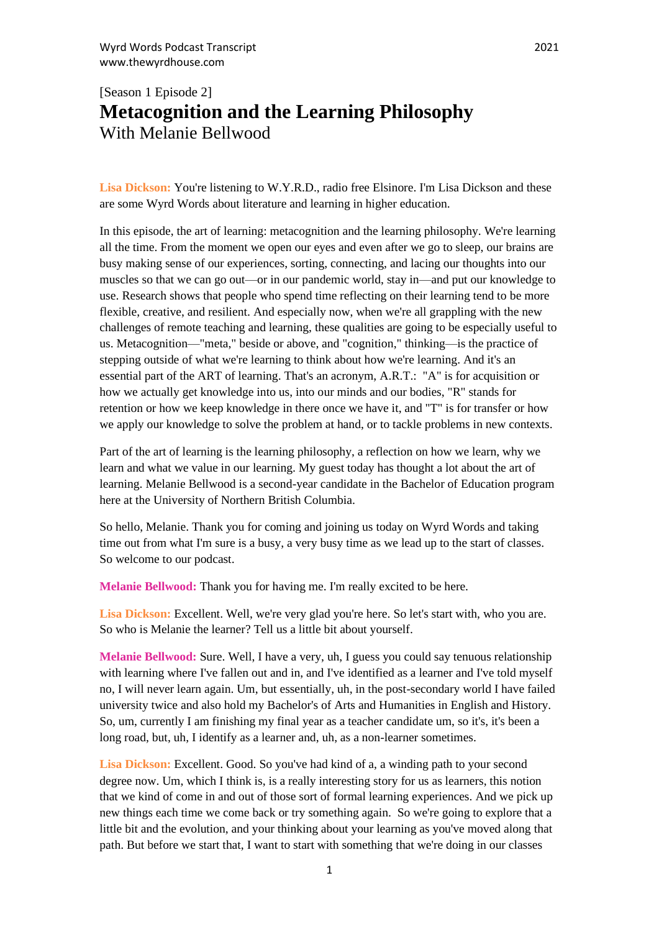## [Season 1 Episode 2] **Metacognition and the Learning Philosophy** With Melanie Bellwood

Lisa Dickson: You're listening to W.Y.R.D., radio free Elsinore. I'm Lisa Dickson and these are some Wyrd Words about literature and learning in higher education.

In this episode, the art of learning: metacognition and the learning philosophy. We're learning all the time. From the moment we open our eyes and even after we go to sleep, our brains are busy making sense of our experiences, sorting, connecting, and lacing our thoughts into our muscles so that we can go out—or in our pandemic world, stay in—and put our knowledge to use. Research shows that people who spend time reflecting on their learning tend to be more flexible, creative, and resilient. And especially now, when we're all grappling with the new challenges of remote teaching and learning, these qualities are going to be especially useful to us. Metacognition—"meta," beside or above, and "cognition," thinking—is the practice of stepping outside of what we're learning to think about how we're learning. And it's an essential part of the ART of learning. That's an acronym, A.R.T.: "A" is for acquisition or how we actually get knowledge into us, into our minds and our bodies, "R" stands for retention or how we keep knowledge in there once we have it, and "T" is for transfer or how we apply our knowledge to solve the problem at hand, or to tackle problems in new contexts.

Part of the art of learning is the learning philosophy, a reflection on how we learn, why we learn and what we value in our learning. My guest today has thought a lot about the art of learning. Melanie Bellwood is a second-year candidate in the Bachelor of Education program here at the University of Northern British Columbia.

So hello, Melanie. Thank you for coming and joining us today on Wyrd Words and taking time out from what I'm sure is a busy, a very busy time as we lead up to the start of classes. So welcome to our podcast.

**Melanie Bellwood:** Thank you for having me. I'm really excited to be here.

Lisa Dickson: Excellent. Well, we're very glad you're here. So let's start with, who you are. So who is Melanie the learner? Tell us a little bit about yourself.

**Melanie Bellwood:** Sure. Well, I have a very, uh, I guess you could say tenuous relationship with learning where I've fallen out and in, and I've identified as a learner and I've told myself no, I will never learn again. Um, but essentially, uh, in the post-secondary world I have failed university twice and also hold my Bachelor's of Arts and Humanities in English and History. So, um, currently I am finishing my final year as a teacher candidate um, so it's, it's been a long road, but, uh, I identify as a learner and, uh, as a non-learner sometimes.

**Lisa Dickson:** Excellent. Good. So you've had kind of a, a winding path to your second degree now. Um, which I think is, is a really interesting story for us as learners, this notion that we kind of come in and out of those sort of formal learning experiences. And we pick up new things each time we come back or try something again. So we're going to explore that a little bit and the evolution, and your thinking about your learning as you've moved along that path. But before we start that, I want to start with something that we're doing in our classes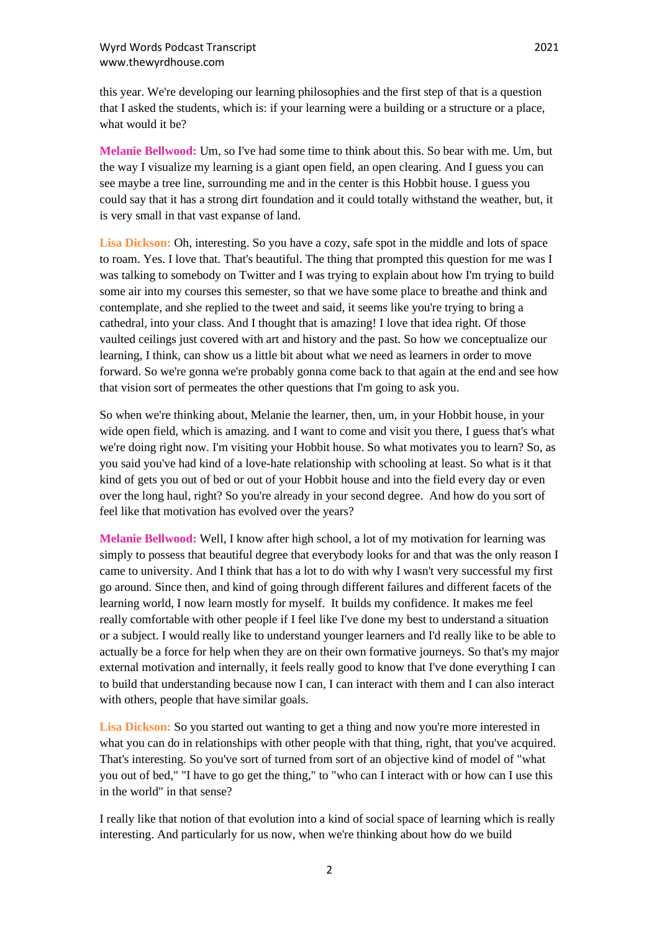this year. We're developing our learning philosophies and the first step of that is a question that I asked the students, which is: if your learning were a building or a structure or a place, what would it be?

**Melanie Bellwood:** Um, so I've had some time to think about this. So bear with me. Um, but the way I visualize my learning is a giant open field, an open clearing. And I guess you can see maybe a tree line, surrounding me and in the center is this Hobbit house. I guess you could say that it has a strong dirt foundation and it could totally withstand the weather, but, it is very small in that vast expanse of land.

Lisa Dickson: Oh, interesting. So you have a cozy, safe spot in the middle and lots of space to roam. Yes. I love that. That's beautiful. The thing that prompted this question for me was I was talking to somebody on Twitter and I was trying to explain about how I'm trying to build some air into my courses this semester, so that we have some place to breathe and think and contemplate, and she replied to the tweet and said, it seems like you're trying to bring a cathedral, into your class. And I thought that is amazing! I love that idea right. Of those vaulted ceilings just covered with art and history and the past. So how we conceptualize our learning, I think, can show us a little bit about what we need as learners in order to move forward. So we're gonna we're probably gonna come back to that again at the end and see how that vision sort of permeates the other questions that I'm going to ask you.

So when we're thinking about, Melanie the learner, then, um, in your Hobbit house, in your wide open field, which is amazing. and I want to come and visit you there, I guess that's what we're doing right now. I'm visiting your Hobbit house. So what motivates you to learn? So, as you said you've had kind of a love-hate relationship with schooling at least. So what is it that kind of gets you out of bed or out of your Hobbit house and into the field every day or even over the long haul, right? So you're already in your second degree. And how do you sort of feel like that motivation has evolved over the years?

**Melanie Bellwood:** Well, I know after high school, a lot of my motivation for learning was simply to possess that beautiful degree that everybody looks for and that was the only reason I came to university. And I think that has a lot to do with why I wasn't very successful my first go around. Since then, and kind of going through different failures and different facets of the learning world, I now learn mostly for myself. It builds my confidence. It makes me feel really comfortable with other people if I feel like I've done my best to understand a situation or a subject. I would really like to understand younger learners and I'd really like to be able to actually be a force for help when they are on their own formative journeys. So that's my major external motivation and internally, it feels really good to know that I've done everything I can to build that understanding because now I can, I can interact with them and I can also interact with others, people that have similar goals.

**Lisa Dickson:** So you started out wanting to get a thing and now you're more interested in what you can do in relationships with other people with that thing, right, that you've acquired. That's interesting. So you've sort of turned from sort of an objective kind of model of "what you out of bed," "I have to go get the thing," to "who can I interact with or how can I use this in the world" in that sense?

I really like that notion of that evolution into a kind of social space of learning which is really interesting. And particularly for us now, when we're thinking about how do we build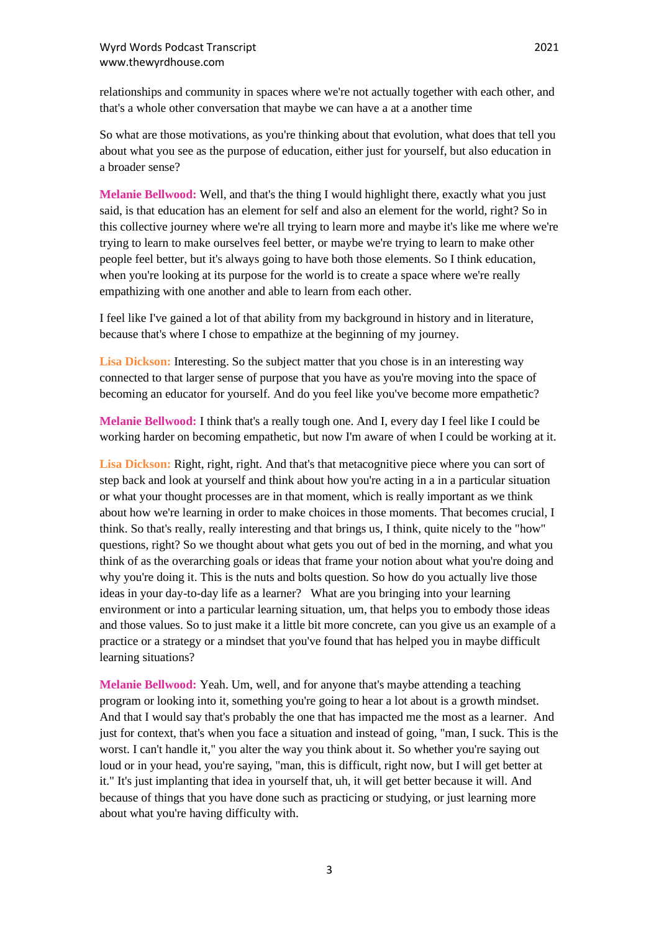relationships and community in spaces where we're not actually together with each other, and that's a whole other conversation that maybe we can have a at a another time

So what are those motivations, as you're thinking about that evolution, what does that tell you about what you see as the purpose of education, either just for yourself, but also education in a broader sense?

**Melanie Bellwood:** Well, and that's the thing I would highlight there, exactly what you just said, is that education has an element for self and also an element for the world, right? So in this collective journey where we're all trying to learn more and maybe it's like me where we're trying to learn to make ourselves feel better, or maybe we're trying to learn to make other people feel better, but it's always going to have both those elements. So I think education, when you're looking at its purpose for the world is to create a space where we're really empathizing with one another and able to learn from each other.

I feel like I've gained a lot of that ability from my background in history and in literature, because that's where I chose to empathize at the beginning of my journey.

Lisa Dickson: Interesting. So the subject matter that you chose is in an interesting way connected to that larger sense of purpose that you have as you're moving into the space of becoming an educator for yourself. And do you feel like you've become more empathetic?

**Melanie Bellwood:** I think that's a really tough one. And I, every day I feel like I could be working harder on becoming empathetic, but now I'm aware of when I could be working at it.

**Lisa Dickson:** Right, right, right. And that's that metacognitive piece where you can sort of step back and look at yourself and think about how you're acting in a in a particular situation or what your thought processes are in that moment, which is really important as we think about how we're learning in order to make choices in those moments. That becomes crucial, I think. So that's really, really interesting and that brings us, I think, quite nicely to the "how" questions, right? So we thought about what gets you out of bed in the morning, and what you think of as the overarching goals or ideas that frame your notion about what you're doing and why you're doing it. This is the nuts and bolts question. So how do you actually live those ideas in your day-to-day life as a learner? What are you bringing into your learning environment or into a particular learning situation, um, that helps you to embody those ideas and those values. So to just make it a little bit more concrete, can you give us an example of a practice or a strategy or a mindset that you've found that has helped you in maybe difficult learning situations?

**Melanie Bellwood:** Yeah. Um, well, and for anyone that's maybe attending a teaching program or looking into it, something you're going to hear a lot about is a growth mindset. And that I would say that's probably the one that has impacted me the most as a learner. And just for context, that's when you face a situation and instead of going, "man, I suck. This is the worst. I can't handle it," you alter the way you think about it. So whether you're saying out loud or in your head, you're saying, "man, this is difficult, right now, but I will get better at it." It's just implanting that idea in yourself that, uh, it will get better because it will. And because of things that you have done such as practicing or studying, or just learning more about what you're having difficulty with.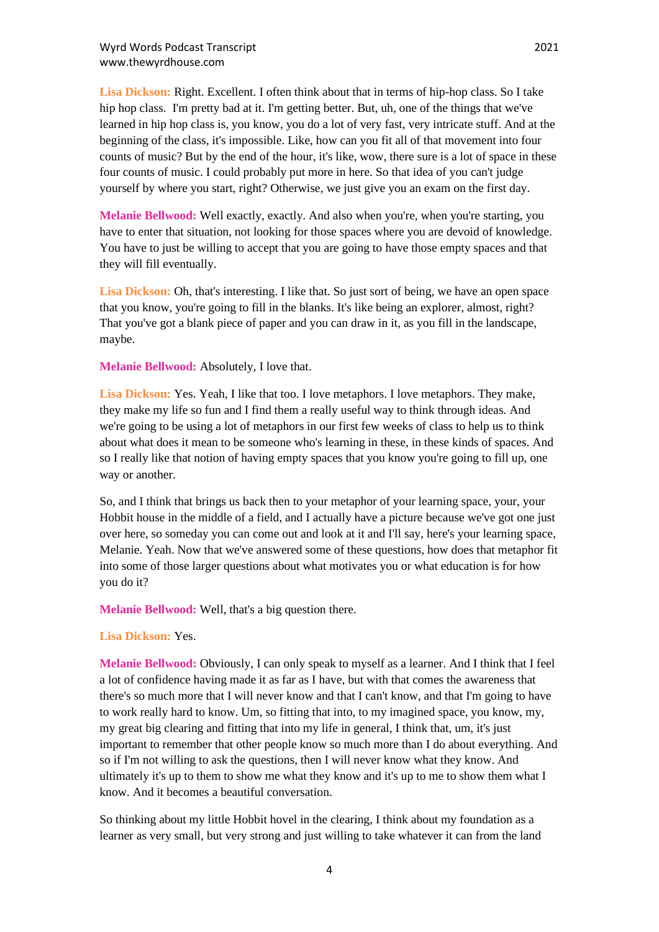**Lisa Dickson:** Right. Excellent. I often think about that in terms of hip-hop class. So I take hip hop class. I'm pretty bad at it. I'm getting better. But, uh, one of the things that we've learned in hip hop class is, you know, you do a lot of very fast, very intricate stuff. And at the beginning of the class, it's impossible. Like, how can you fit all of that movement into four counts of music? But by the end of the hour, it's like, wow, there sure is a lot of space in these four counts of music. I could probably put more in here. So that idea of you can't judge yourself by where you start, right? Otherwise, we just give you an exam on the first day.

**Melanie Bellwood:** Well exactly, exactly. And also when you're, when you're starting, you have to enter that situation, not looking for those spaces where you are devoid of knowledge. You have to just be willing to accept that you are going to have those empty spaces and that they will fill eventually.

Lisa Dickson: Oh, that's interesting. I like that. So just sort of being, we have an open space that you know, you're going to fill in the blanks. It's like being an explorer, almost, right? That you've got a blank piece of paper and you can draw in it, as you fill in the landscape, maybe.

**Melanie Bellwood:** Absolutely, I love that.

**Lisa Dickson:** Yes. Yeah, I like that too. I love metaphors. I love metaphors. They make, they make my life so fun and I find them a really useful way to think through ideas. And we're going to be using a lot of metaphors in our first few weeks of class to help us to think about what does it mean to be someone who's learning in these, in these kinds of spaces. And so I really like that notion of having empty spaces that you know you're going to fill up, one way or another.

So, and I think that brings us back then to your metaphor of your learning space, your, your Hobbit house in the middle of a field, and I actually have a picture because we've got one just over here, so someday you can come out and look at it and I'll say, here's your learning space, Melanie. Yeah. Now that we've answered some of these questions, how does that metaphor fit into some of those larger questions about what motivates you or what education is for how you do it?

**Melanie Bellwood:** Well, that's a big question there.

## **Lisa Dickson:** Yes.

**Melanie Bellwood:** Obviously, I can only speak to myself as a learner. And I think that I feel a lot of confidence having made it as far as I have, but with that comes the awareness that there's so much more that I will never know and that I can't know, and that I'm going to have to work really hard to know. Um, so fitting that into, to my imagined space, you know, my, my great big clearing and fitting that into my life in general, I think that, um, it's just important to remember that other people know so much more than I do about everything. And so if I'm not willing to ask the questions, then I will never know what they know. And ultimately it's up to them to show me what they know and it's up to me to show them what I know. And it becomes a beautiful conversation.

So thinking about my little Hobbit hovel in the clearing, I think about my foundation as a learner as very small, but very strong and just willing to take whatever it can from the land